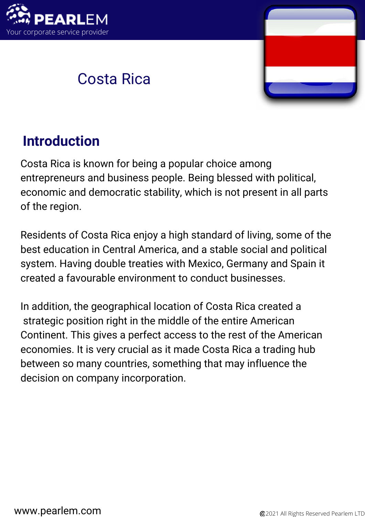

# Costa Rica



# **Introduction**

Costa Rica is known for being a popular choice among entrepreneurs and business people. Being blessed with political, economic and democratic stability, which is not present in all parts of the region.

Residents of Costa Rica enjoy a high standard of living, some of the best education in Central America, and a stable social and political system. Having double treaties with Mexico, Germany and Spain it created a favourable environment to conduct businesses.

In addition, the geographical location of Costa Rica created a strategic position right in the middle of the entire American Continent. This gives a perfect access to the rest of the American economies. It is very crucial as it made Costa Rica a trading hub between so many countries, something that may influence the decision on company incorporation.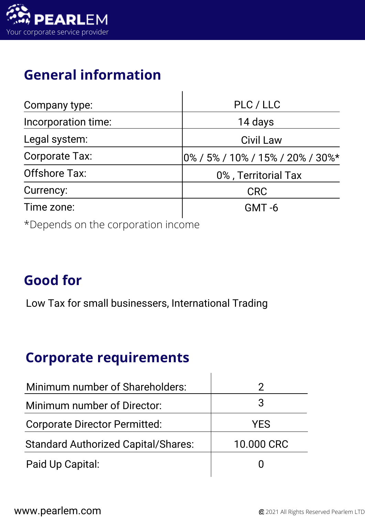

# **General information**

| Company type:                             | PLC / LLC                            |  |
|-------------------------------------------|--------------------------------------|--|
| Incorporation time:                       | 14 days                              |  |
| Legal system:                             | <b>Civil Law</b>                     |  |
| Corporate Tax:                            | $ 0\%$ / 5% / 10% / 15% / 20% / 30%* |  |
| <b>Offshore Tax:</b>                      | 0%, Territorial Tax                  |  |
| Currency:                                 | <b>CRC</b>                           |  |
| Time zone:                                | $GMT - 6$                            |  |
| $\star$ Depende on the corporation income |                                      |  |

\*Depends on the corporation income

### **Good for**

Low Tax for small businessers, International Trading

#### **Corporate requirements**

| Minimum number of Shareholders:            |            |
|--------------------------------------------|------------|
| Minimum number of Director:                | 3          |
| <b>Corporate Director Permitted:</b>       | <b>YES</b> |
| <b>Standard Authorized Capital/Shares:</b> | 10.000 CRC |
| Paid Up Capital:                           |            |

 $\overline{1}$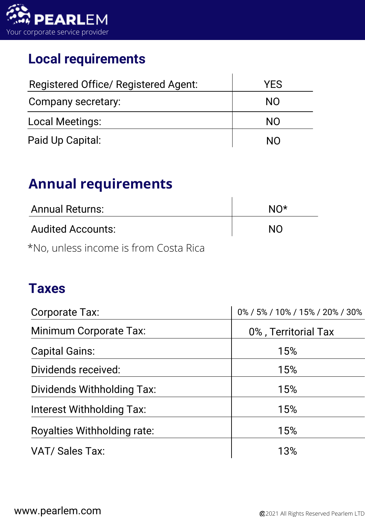

#### **Local requirements**

| Registered Office/ Registered Agent: | <b>YES</b> |
|--------------------------------------|------------|
| Company secretary:                   | NO.        |
| <b>Local Meetings:</b>               | <b>NO</b>  |
| Paid Up Capital:                     | NΩ         |

#### **Annual requirements**

| <b>Annual Returns:</b>                | $N()^*$   |
|---------------------------------------|-----------|
| <b>Audited Accounts:</b>              | <b>NO</b> |
| *No, unless income is from Costa Rica |           |

#### **Taxes**

| Corporate Tax:                   | 0% / 5% / 10% / 15% / 20% / 30% |
|----------------------------------|---------------------------------|
| Minimum Corporate Tax:           | 0%, Territorial Tax             |
| <b>Capital Gains:</b>            | 15%                             |
| Dividends received:              | 15%                             |
| Dividends Withholding Tax:       | 15%                             |
| <b>Interest Withholding Tax:</b> | 15%                             |
| Royalties Withholding rate:      | 15%                             |
| <b>VAT/ Sales Tax:</b>           | 13%                             |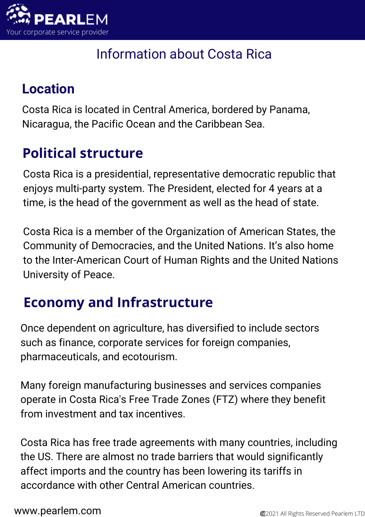

### Information about Costa Rica

### **Location**

Costa Rica is located in Central America, bordered by Panama, Nicaragua, the Pacific Ocean and the Caribbean Sea.

# **Political structure**

Costa Rica is a presidential, representative democratic republic that enjoys multi-party system. The President, elected for 4 years at a time, is the head of the government as well as the head of state.

Costa Rica is a member of the Organization of American States, the Community of Democracies, and the United Nations. It's also home to the Inter-American Court of Human Rights and the United Nations University of Peace.

# **Economy and Infrastructure**

Once dependent on agriculture, has diversified to include sectors such as finance, corporate services for foreign companies, pharmaceuticals, and ecotourism.

Many foreign manufacturing businesses and services companies operate in Costa Rica's Free Trade Zones (FTZ) where they benefit from investment and tax incentives.

Costa Rica has free trade agreements with many countries, including the US. There are almost no trade barriers that would significantly affect imports and the country has been lowering its tariffs in accordance with other Central American countries.

**WWW.pearlem.com** 2021 All Rights Reserved Pearlem LTD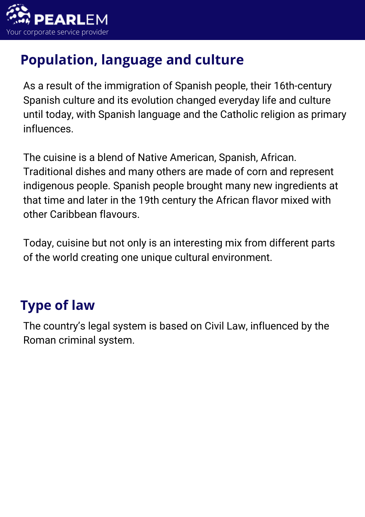

# **Population, language and culture**

As a result of the immigration of Spanish people, their 16th-century Spanish culture and its evolution changed everyday life and culture until today, with Spanish language and the Catholic religion as primary influences.

The cuisine is a blend of Native American, Spanish, African. Traditional dishes and many others are made of corn and represent indigenous people. Spanish people brought many new ingredients at that time and later in the 19th century the African flavor mixed with other Caribbean flavours.

Today, cuisine but not only is an interesting mix from different parts of the world creating one unique cultural environment.

### **Type of law**

The country's legal system is based on Civil Law, influenced by the Roman criminal system.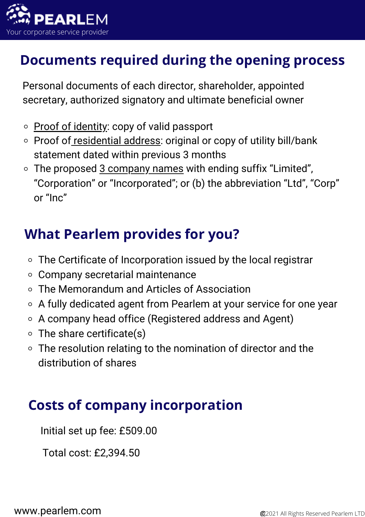

#### **Documents required during the opening process**

Personal documents of each director, shareholder, appointed secretary, authorized signatory and ultimate beneficial owner

- $\circ$  Proof of identity: copy of valid passport
- Proof of residential address: original or copy of utility bill/bank statement dated within previous 3 months
- $\circ$  The proposed  $3$  company names with ending suffix "Limited", "Corporation" or "Incorporated"; or (b) the abbreviation "Ltd", "Corp" or "Inc"

### **What Pearlem provides for you?**

- The Certificate of Incorporation issued by the local registrar
- Company secretarial maintenance
- The Memorandum and Articles of Association
- A fully dedicated agent from Pearlem at your service for one year
- A company head office (Registered address and Agent)
- $\circ$  The share certificate(s)
- The resolution relating to the nomination of director and the distribution of shares

#### **Costs of company incorporation**

Initial set up fee: £509.00

Total cost: £2,394.50